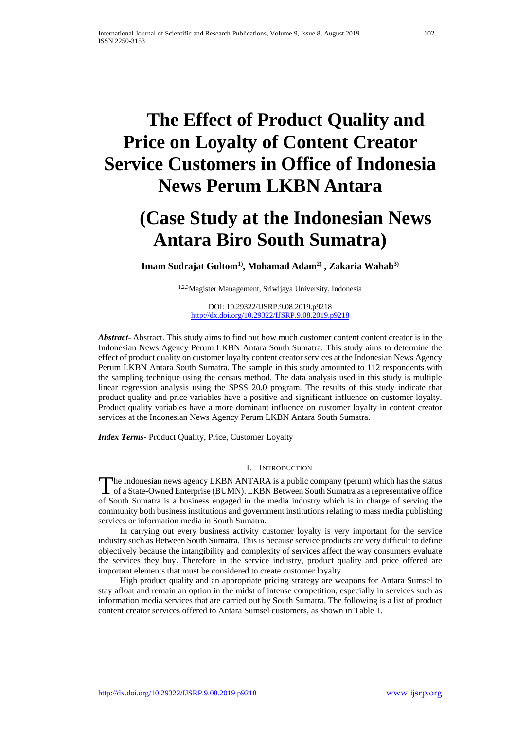# **The Effect of Product Quality and Price on Loyalty of Content Creator Service Customers in Office of Indonesia News Perum LKBN Antara**

## **(Case Study at the Indonesian News Antara Biro South Sumatra)**

**Imam Sudrajat Gultom1), Mohamad Adam2) , Zakaria Wahab3)**

1,2,3Magister Management, Sriwijaya University, Indonesia

DOI: 10.29322/IJSRP.9.08.2019.p9218 <http://dx.doi.org/10.29322/IJSRP.9.08.2019.p9218>

*Abstract***-** Abstract. This study aims to find out how much customer content content creator is in the Indonesian News Agency Perum LKBN Antara South Sumatra. This study aims to determine the effect of product quality on customer loyalty content creator services at the Indonesian News Agency Perum LKBN Antara South Sumatra. The sample in this study amounted to 112 respondents with the sampling technique using the census method. The data analysis used in this study is multiple linear regression analysis using the SPSS 20.0 program. The results of this study indicate that product quality and price variables have a positive and significant influence on customer loyalty. Product quality variables have a more dominant influence on customer loyalty in content creator services at the Indonesian News Agency Perum LKBN Antara South Sumatra.

*Index Terms*- Product Quality, Price, Customer Loyalty

## I. INTRODUCTION

**The Indonesian news agency LKBN ANTARA is a public company (perum) which has the status** The Indonesian news agency LKBN ANTARA is a public company (perum) which has the status of a State-Owned Enterprise (BUMN). LKBN Between South Sumatra as a representative office of South Sumatra is a business engaged in the media industry which is in charge of serving the community both business institutions and government institutions relating to mass media publishing services or information media in South Sumatra.

 In carrying out every business activity customer loyalty is very important for the service industry such as Between South Sumatra. This is because service products are very difficult to define objectively because the intangibility and complexity of services affect the way consumers evaluate the services they buy. Therefore in the service industry, product quality and price offered are important elements that must be considered to create customer loyalty.

 High product quality and an appropriate pricing strategy are weapons for Antara Sumsel to stay afloat and remain an option in the midst of intense competition, especially in services such as information media services that are carried out by South Sumatra. The following is a list of product content creator services offered to Antara Sumsel customers, as shown in Table 1.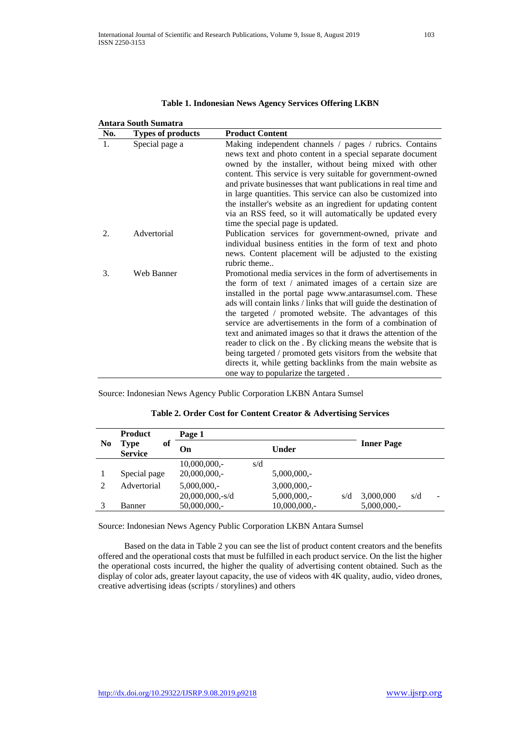| <b>Product Content</b><br>No.<br><b>Types of products</b><br>1.<br>Special page a<br>Making independent channels / pages / rubrics. Contains<br>news text and photo content in a special separate document<br>owned by the installer, without being mixed with other<br>content. This service is very suitable for government-owned<br>and private businesses that want publications in real time and<br>in large quantities. This service can also be customized into<br>the installer's website as an ingredient for updating content<br>via an RSS feed, so it will automatically be updated every<br>time the special page is updated.<br>Advertorial<br>Publication services for government-owned, private and<br>2.<br>individual business entities in the form of text and photo<br>news. Content placement will be adjusted to the existing<br>rubric theme<br>Web Banner<br>Promotional media services in the form of advertisements in<br>3.<br>the form of text / animated images of a certain size are<br>installed in the portal page www.antarasumsel.com. These<br>ads will contain links / links that will guide the destination of<br>the targeted / promoted website. The advantages of this<br>service are advertisements in the form of a combination of<br>text and animated images so that it draws the attention of the<br>reader to click on the . By clicking means the website that is<br>being targeted / promoted gets visitors from the website that | <b>Antara South Sumatra</b> |  |
|-----------------------------------------------------------------------------------------------------------------------------------------------------------------------------------------------------------------------------------------------------------------------------------------------------------------------------------------------------------------------------------------------------------------------------------------------------------------------------------------------------------------------------------------------------------------------------------------------------------------------------------------------------------------------------------------------------------------------------------------------------------------------------------------------------------------------------------------------------------------------------------------------------------------------------------------------------------------------------------------------------------------------------------------------------------------------------------------------------------------------------------------------------------------------------------------------------------------------------------------------------------------------------------------------------------------------------------------------------------------------------------------------------------------------------------------------------------------------------------|-----------------------------|--|
|                                                                                                                                                                                                                                                                                                                                                                                                                                                                                                                                                                                                                                                                                                                                                                                                                                                                                                                                                                                                                                                                                                                                                                                                                                                                                                                                                                                                                                                                                   |                             |  |
|                                                                                                                                                                                                                                                                                                                                                                                                                                                                                                                                                                                                                                                                                                                                                                                                                                                                                                                                                                                                                                                                                                                                                                                                                                                                                                                                                                                                                                                                                   |                             |  |
|                                                                                                                                                                                                                                                                                                                                                                                                                                                                                                                                                                                                                                                                                                                                                                                                                                                                                                                                                                                                                                                                                                                                                                                                                                                                                                                                                                                                                                                                                   |                             |  |
|                                                                                                                                                                                                                                                                                                                                                                                                                                                                                                                                                                                                                                                                                                                                                                                                                                                                                                                                                                                                                                                                                                                                                                                                                                                                                                                                                                                                                                                                                   |                             |  |
|                                                                                                                                                                                                                                                                                                                                                                                                                                                                                                                                                                                                                                                                                                                                                                                                                                                                                                                                                                                                                                                                                                                                                                                                                                                                                                                                                                                                                                                                                   |                             |  |
|                                                                                                                                                                                                                                                                                                                                                                                                                                                                                                                                                                                                                                                                                                                                                                                                                                                                                                                                                                                                                                                                                                                                                                                                                                                                                                                                                                                                                                                                                   |                             |  |
|                                                                                                                                                                                                                                                                                                                                                                                                                                                                                                                                                                                                                                                                                                                                                                                                                                                                                                                                                                                                                                                                                                                                                                                                                                                                                                                                                                                                                                                                                   |                             |  |
|                                                                                                                                                                                                                                                                                                                                                                                                                                                                                                                                                                                                                                                                                                                                                                                                                                                                                                                                                                                                                                                                                                                                                                                                                                                                                                                                                                                                                                                                                   |                             |  |
|                                                                                                                                                                                                                                                                                                                                                                                                                                                                                                                                                                                                                                                                                                                                                                                                                                                                                                                                                                                                                                                                                                                                                                                                                                                                                                                                                                                                                                                                                   |                             |  |
|                                                                                                                                                                                                                                                                                                                                                                                                                                                                                                                                                                                                                                                                                                                                                                                                                                                                                                                                                                                                                                                                                                                                                                                                                                                                                                                                                                                                                                                                                   |                             |  |
|                                                                                                                                                                                                                                                                                                                                                                                                                                                                                                                                                                                                                                                                                                                                                                                                                                                                                                                                                                                                                                                                                                                                                                                                                                                                                                                                                                                                                                                                                   |                             |  |
|                                                                                                                                                                                                                                                                                                                                                                                                                                                                                                                                                                                                                                                                                                                                                                                                                                                                                                                                                                                                                                                                                                                                                                                                                                                                                                                                                                                                                                                                                   |                             |  |
|                                                                                                                                                                                                                                                                                                                                                                                                                                                                                                                                                                                                                                                                                                                                                                                                                                                                                                                                                                                                                                                                                                                                                                                                                                                                                                                                                                                                                                                                                   |                             |  |
|                                                                                                                                                                                                                                                                                                                                                                                                                                                                                                                                                                                                                                                                                                                                                                                                                                                                                                                                                                                                                                                                                                                                                                                                                                                                                                                                                                                                                                                                                   |                             |  |
|                                                                                                                                                                                                                                                                                                                                                                                                                                                                                                                                                                                                                                                                                                                                                                                                                                                                                                                                                                                                                                                                                                                                                                                                                                                                                                                                                                                                                                                                                   |                             |  |
|                                                                                                                                                                                                                                                                                                                                                                                                                                                                                                                                                                                                                                                                                                                                                                                                                                                                                                                                                                                                                                                                                                                                                                                                                                                                                                                                                                                                                                                                                   |                             |  |
|                                                                                                                                                                                                                                                                                                                                                                                                                                                                                                                                                                                                                                                                                                                                                                                                                                                                                                                                                                                                                                                                                                                                                                                                                                                                                                                                                                                                                                                                                   |                             |  |
|                                                                                                                                                                                                                                                                                                                                                                                                                                                                                                                                                                                                                                                                                                                                                                                                                                                                                                                                                                                                                                                                                                                                                                                                                                                                                                                                                                                                                                                                                   |                             |  |
|                                                                                                                                                                                                                                                                                                                                                                                                                                                                                                                                                                                                                                                                                                                                                                                                                                                                                                                                                                                                                                                                                                                                                                                                                                                                                                                                                                                                                                                                                   |                             |  |
|                                                                                                                                                                                                                                                                                                                                                                                                                                                                                                                                                                                                                                                                                                                                                                                                                                                                                                                                                                                                                                                                                                                                                                                                                                                                                                                                                                                                                                                                                   |                             |  |
|                                                                                                                                                                                                                                                                                                                                                                                                                                                                                                                                                                                                                                                                                                                                                                                                                                                                                                                                                                                                                                                                                                                                                                                                                                                                                                                                                                                                                                                                                   |                             |  |
| directs it, while getting backlinks from the main website as                                                                                                                                                                                                                                                                                                                                                                                                                                                                                                                                                                                                                                                                                                                                                                                                                                                                                                                                                                                                                                                                                                                                                                                                                                                                                                                                                                                                                      |                             |  |
| one way to popularize the targeted.                                                                                                                                                                                                                                                                                                                                                                                                                                                                                                                                                                                                                                                                                                                                                                                                                                                                                                                                                                                                                                                                                                                                                                                                                                                                                                                                                                                                                                               |                             |  |

## **Table 1. Indonesian News Agency Services Offering LKBN**

Source: Indonesian News Agency Public Corporation LKBN Antara Sumsel

|                | <b>Product</b>               | Page 1                |                      |                       |
|----------------|------------------------------|-----------------------|----------------------|-----------------------|
| N <sub>0</sub> | of<br>Type<br><b>Service</b> | Оn                    | Under                | <b>Inner Page</b>     |
|                |                              | $10,000,000,-$<br>s/d |                      |                       |
|                | Special page                 | $20,000,000,-$        | $5,000,000,-$        |                       |
| $\mathcal{D}$  | Advertorial                  | $5,000,000,-$         | $3,000,000,-$        |                       |
|                |                              | $20,000,000,-s/d$     | $5,000,000,-$<br>s/d | 3,000,000<br>s/d<br>- |
|                | Banner                       | $50,000,000,-$        | $10,000,000,-$       | $5,000,000,-$         |

## **Table 2. Order Cost for Content Creator & Advertising Services**

Source: Indonesian News Agency Public Corporation LKBN Antara Sumsel

 Based on the data in Table 2 you can see the list of product content creators and the benefits offered and the operational costs that must be fulfilled in each product service. On the list the higher the operational costs incurred, the higher the quality of advertising content obtained. Such as the display of color ads, greater layout capacity, the use of videos with 4K quality, audio, video drones, creative advertising ideas (scripts / storylines) and others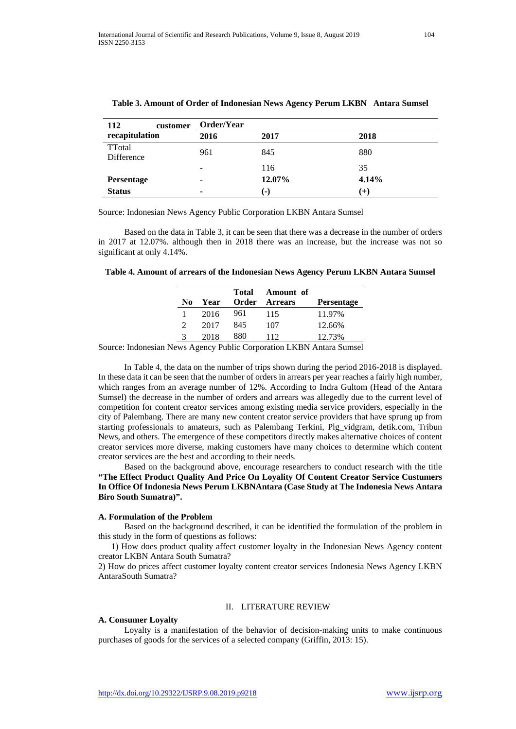| 112<br>customer      | Order/Year                   |        |       |
|----------------------|------------------------------|--------|-------|
| recapitulation       | 2016                         | 2017   | 2018  |
| TTotal<br>Difference | 961                          | 845    | 880   |
|                      | $\qquad \qquad \blacksquare$ | 116    | 35    |
| <b>Persentage</b>    | ۰                            | 12.07% | 4.14% |
| <b>Status</b>        | ۰                            | (-)    | $(+)$ |

## **Table 3. Amount of Order of Indonesian News Agency Perum LKBN Antara Sumsel**

Source: Indonesian News Agency Public Corporation LKBN Antara Sumsel

 Based on the data in Table 3, it can be seen that there was a decrease in the number of orders in 2017 at 12.07%. although then in 2018 there was an increase, but the increase was not so significant at only 4.14%.

#### **Table 4. Amount of arrears of the Indonesian News Agency Perum LKBN Antara Sumsel**

|     |      | Total | Amount of      |                   |
|-----|------|-------|----------------|-------------------|
| No. | Year | Order | <b>Arrears</b> | <b>Persentage</b> |
|     | 2016 | 961   | 115            | 11.97%            |
|     | 2017 | 845   | 107            | 12.66%            |
| 2   | 2018 | 880   | 112            | 12.73%            |

Source: Indonesian News Agency Public Corporation LKBN Antara Sumsel

 In Table 4, the data on the number of trips shown during the period 2016-2018 is displayed. In these data it can be seen that the number of orders in arrears per year reaches a fairly high number, which ranges from an average number of 12%. According to Indra Gultom (Head of the Antara Sumsel) the decrease in the number of orders and arrears was allegedly due to the current level of competition for content creator services among existing media service providers, especially in the city of Palembang. There are many new content creator service providers that have sprung up from starting professionals to amateurs, such as Palembang Terkini, Plg\_vidgram, detik.com, Tribun News, and others. The emergence of these competitors directly makes alternative choices of content creator services more diverse, making customers have many choices to determine which content creator services are the best and according to their needs.

 Based on the background above, encourage researchers to conduct research with the title **"The Effect Product Quality And Price On Loyality Of Content Creator Service Custumers In Office Of Indonesia News Perum LKBNAntara (Case Study at The Indonesia News Antara Biro South Sumatra)".**

#### **A. Formulation of the Problem**

 Based on the background described, it can be identified the formulation of the problem in this study in the form of questions as follows:

 1) How does product quality affect customer loyalty in the Indonesian News Agency content creator LKBN Antara South Sumatra?

2) How do prices affect customer loyalty content creator services Indonesia News Agency LKBN AntaraSouth Sumatra?

#### II. LITERATURE REVIEW

#### **A. Consumer Loyalty**

 Loyalty is a manifestation of the behavior of decision-making units to make continuous purchases of goods for the services of a selected company (Griffin, 2013: 15).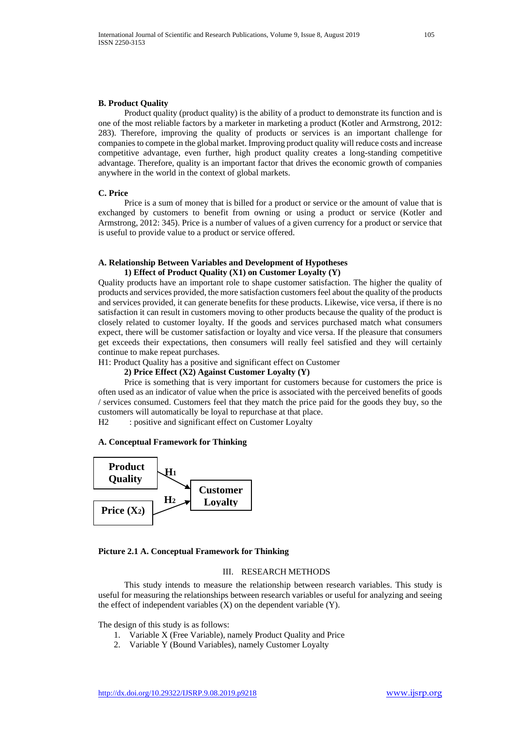#### **B. Product Quality**

 Product quality (product quality) is the ability of a product to demonstrate its function and is one of the most reliable factors by a marketer in marketing a product (Kotler and Armstrong, 2012: 283). Therefore, improving the quality of products or services is an important challenge for companies to compete in the global market. Improving product quality will reduce costs and increase competitive advantage, even further, high product quality creates a long-standing competitive advantage. Therefore, quality is an important factor that drives the economic growth of companies anywhere in the world in the context of global markets.

#### **C. Price**

 Price is a sum of money that is billed for a product or service or the amount of value that is exchanged by customers to benefit from owning or using a product or service (Kotler and Armstrong, 2012: 345). Price is a number of values of a given currency for a product or service that is useful to provide value to a product or service offered.

## **A. Relationship Between Variables and Development of Hypotheses 1) Effect of Product Quality (X1) on Customer Loyalty (Y)**

Quality products have an important role to shape customer satisfaction. The higher the quality of products and services provided, the more satisfaction customers feel about the quality of the products and services provided, it can generate benefits for these products. Likewise, vice versa, if there is no satisfaction it can result in customers moving to other products because the quality of the product is closely related to customer loyalty. If the goods and services purchased match what consumers expect, there will be customer satisfaction or loyalty and vice versa. If the pleasure that consumers get exceeds their expectations, then consumers will really feel satisfied and they will certainly continue to make repeat purchases.

H1: Product Quality has a positive and significant effect on Customer

#### **2) Price Effect (X2) Against Customer Loyalty (Y)**

 Price is something that is very important for customers because for customers the price is often used as an indicator of value when the price is associated with the perceived benefits of goods / services consumed. Customers feel that they match the price paid for the goods they buy, so the customers will automatically be loyal to repurchase at that place.

H2 : positive and significant effect on Customer Loyalty

#### **A. Conceptual Framework for Thinking**



#### **Picture 2.1 A. Conceptual Framework for Thinking**

#### III. RESEARCH METHODS

 This study intends to measure the relationship between research variables. This study is useful for measuring the relationships between research variables or useful for analyzing and seeing the effect of independent variables  $(X)$  on the dependent variable  $(Y)$ .

The design of this study is as follows:

- 1. Variable X (Free Variable), namely Product Quality and Price
- 2. Variable Y (Bound Variables), namely Customer Loyalty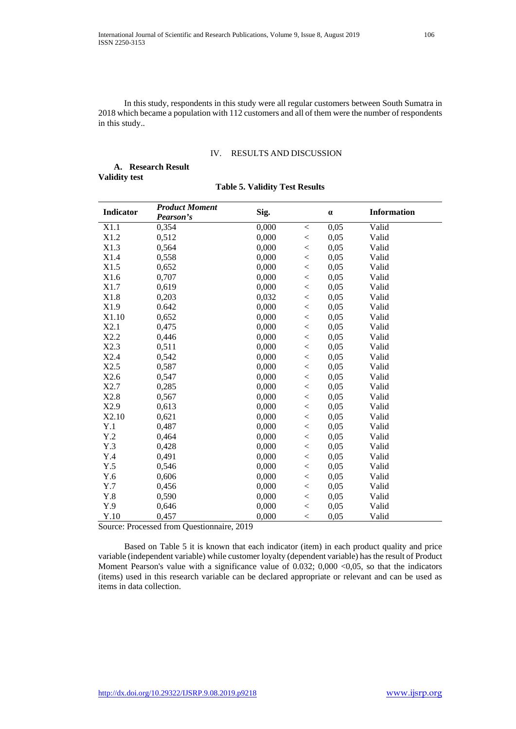In this study, respondents in this study were all regular customers between South Sumatra in 2018 which became a population with 112 customers and all of them were the number of respondents in this study..

#### IV. RESULTS AND DISCUSSION

|                      | A. Research Result |  |
|----------------------|--------------------|--|
| <b>Validity test</b> |                    |  |

|  |  |  |  | <b>Table 5. Validity Test Results</b> |
|--|--|--|--|---------------------------------------|
|--|--|--|--|---------------------------------------|

|                  | <b>Product Moment</b> |       |         |          |                    |  |
|------------------|-----------------------|-------|---------|----------|--------------------|--|
| <b>Indicator</b> | Pearson's             | Sig.  |         | $\alpha$ | <b>Information</b> |  |
| X1.1             | 0,354                 | 0,000 | $\,<$   | 0,05     | Valid              |  |
| X1.2             | 0,512                 | 0,000 | $\,<\,$ | 0,05     | Valid              |  |
| X1.3             | 0,564                 | 0,000 | $<\,$   | 0,05     | Valid              |  |
| X1.4             | 0,558                 | 0,000 | $\,<$   | 0,05     | Valid              |  |
| X1.5             | 0,652                 | 0,000 | $\,<$   | 0,05     | Valid              |  |
| X1.6             | 0,707                 | 0,000 | $\,<$   | 0,05     | Valid              |  |
| X1.7             | 0,619                 | 0,000 | $\,<$   | 0,05     | Valid              |  |
| X1.8             | 0,203                 | 0,032 | $\,<$   | 0,05     | Valid              |  |
| X1.9             | 0.642                 | 0,000 | $\,<$   | 0,05     | Valid              |  |
| X1.10            | 0,652                 | 0,000 | $\,<$   | 0,05     | Valid              |  |
| X2.1             | 0,475                 | 0,000 | $<\,$   | 0,05     | Valid              |  |
| X2.2             | 0,446                 | 0,000 | $\,<$   | 0,05     | Valid              |  |
| X2.3             | 0,511                 | 0,000 | $\,<$   | 0,05     | Valid              |  |
| X2.4             | 0,542                 | 0,000 | $\,<$   | 0,05     | Valid              |  |
| X2.5             | 0,587                 | 0,000 | $\,<$   | 0,05     | Valid              |  |
| X2.6             | 0,547                 | 0,000 | $\,<$   | 0,05     | Valid              |  |
| X2.7             | 0,285                 | 0,000 | $\,<$   | 0,05     | Valid              |  |
| X2.8             | 0,567                 | 0,000 | $\,<$   | 0,05     | Valid              |  |
| X2.9             | 0,613                 | 0,000 | $\,<$   | 0,05     | Valid              |  |
| X2.10            | 0,621                 | 0,000 | $\,<$   | 0,05     | Valid              |  |
| Y.1              | 0,487                 | 0,000 | $\,<$   | 0,05     | Valid              |  |
| Y.2              | 0,464                 | 0,000 | $\,<$   | 0,05     | Valid              |  |
| Y.3              | 0,428                 | 0,000 | $\,<$   | 0,05     | Valid              |  |
| Y.4              | 0,491                 | 0,000 | $\,<$   | 0,05     | Valid              |  |
| Y.5              | 0,546                 | 0,000 | $\lt$   | 0,05     | Valid              |  |
| Y.6              | 0,606                 | 0,000 | $\,<$   | 0,05     | Valid              |  |
| Y.7              | 0,456                 | 0,000 | $\,<$   | 0,05     | Valid              |  |
| Y.8              | 0,590                 | 0,000 | $\,<$   | 0,05     | Valid              |  |
| Y.9              | 0,646                 | 0,000 | $\,<$   | 0,05     | Valid              |  |
| Y.10             | 0,457                 | 0,000 | $\,<$   | 0,05     | Valid              |  |

Source: Processed from Questionnaire, 2019

 Based on Table 5 it is known that each indicator (item) in each product quality and price variable (independent variable) while customer loyalty (dependent variable) has the result of Product Moment Pearson's value with a significance value of  $0.032$ ;  $0,000 < 0,05$ , so that the indicators (items) used in this research variable can be declared appropriate or relevant and can be used as items in data collection.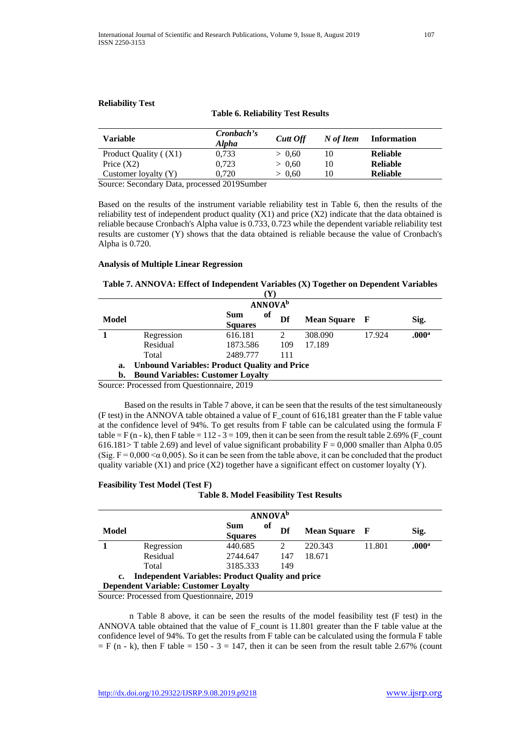## **Reliability Test**

## **Table 6. Reliability Test Results**

| <b>Variable</b>       | Cronbach's<br><b>Alpha</b> | <b>Cutt Off</b> | N of Item | <b>Information</b> |
|-----------------------|----------------------------|-----------------|-----------|--------------------|
| Product Quality ((X1) | 0.733                      | > 0.60          | 10        | <b>Reliable</b>    |
| Price $(X2)$          | 0.723                      | > 0.60          | 10        | <b>Reliable</b>    |
| Customer loyalty (Y)  | 0.720                      | > 0.60          | 10        | <b>Reliable</b>    |

Source: Secondary Data, processed 2019Sumber

Based on the results of the instrument variable reliability test in Table 6, then the results of the reliability test of independent product quality (X1) and price (X2) indicate that the data obtained is reliable because Cronbach's Alpha value is 0.733, 0.723 while the dependent variable reliability test results are customer (Y) shows that the data obtained is reliable because the value of Cronbach's Alpha is 0.720.

#### **Analysis of Multiple Linear Regression**

## **Table 7. ANNOVA: Effect of Independent Variables (X) Together on Dependent Variables**

| <b>ANNOVA</b> <sup>b</sup>                                |                                    |                                          |         |        |                      |  |  |
|-----------------------------------------------------------|------------------------------------|------------------------------------------|---------|--------|----------------------|--|--|
|                                                           | of<br><b>Sum</b><br><b>Squares</b> | Df                                       |         |        | Sig.                 |  |  |
| Regression                                                | 616.181                            |                                          | 308.090 | 17.924 | .000 <sup>a</sup>    |  |  |
| Residual                                                  | 1873.586                           | 109                                      | 17.189  |        |                      |  |  |
| Total                                                     | 2489.777                           | 111                                      |         |        |                      |  |  |
| <b>Unbound Variables: Product Quality and Price</b><br>a. |                                    |                                          |         |        |                      |  |  |
|                                                           |                                    |                                          |         |        |                      |  |  |
|                                                           |                                    | <b>Bound Variables: Customer Loyalty</b> |         |        | <b>Mean Square</b> F |  |  |

Source: Processed from Questionnaire, 2019

 Based on the results in Table 7 above, it can be seen that the results of the test simultaneously (F test) in the ANNOVA table obtained a value of F count of 616,181 greater than the F table value at the confidence level of 94%. To get results from F table can be calculated using the formula F table = F (n - k), then F table = 112 - 3 = 109, then it can be seen from the result table 2.69% (F count 616.181> T table 2.69) and level of value significant probability  $F = 0,000$  smaller than Alpha 0.05 (Sig.  $F = 0.000 \le \alpha$  0.005). So it can be seen from the table above, it can be concluded that the product quality variable  $(X1)$  and price  $(X2)$  together have a significant effect on customer loyalty  $(Y)$ .

#### **Feasibility Test Model (Test F)**

#### **Table 8. Model Feasibility Test Results**

|       | <b>ANNOVA</b> <sup>b</sup>                              |                             |     |                      |        |                   |  |  |  |
|-------|---------------------------------------------------------|-----------------------------|-----|----------------------|--------|-------------------|--|--|--|
| Model |                                                         | of<br>Sum<br><b>Squares</b> | Df  | <b>Mean Square</b> F |        | Sig.              |  |  |  |
|       | Regression                                              | 440.685                     |     | 220.343              | 11.801 | .000 <sup>a</sup> |  |  |  |
|       | Residual                                                | 2744.647                    | 147 | 18.671               |        |                   |  |  |  |
|       | Total                                                   | 3185.333                    | 149 |                      |        |                   |  |  |  |
| c.    | <b>Independent Variables: Product Quality and price</b> |                             |     |                      |        |                   |  |  |  |
|       | <b>Dependent Variable: Customer Loyalty</b>             |                             |     |                      |        |                   |  |  |  |

Source: Processed from Questionnaire, 2019

n Table 8 above, it can be seen the results of the model feasibility test (F test) in the ANNOVA table obtained that the value of F\_count is 11.801 greater than the F table value at the confidence level of 94%. To get the results from F table can be calculated using the formula F table  $=$  F (n - k), then F table = 150 - 3 = 147, then it can be seen from the result table 2.67% (count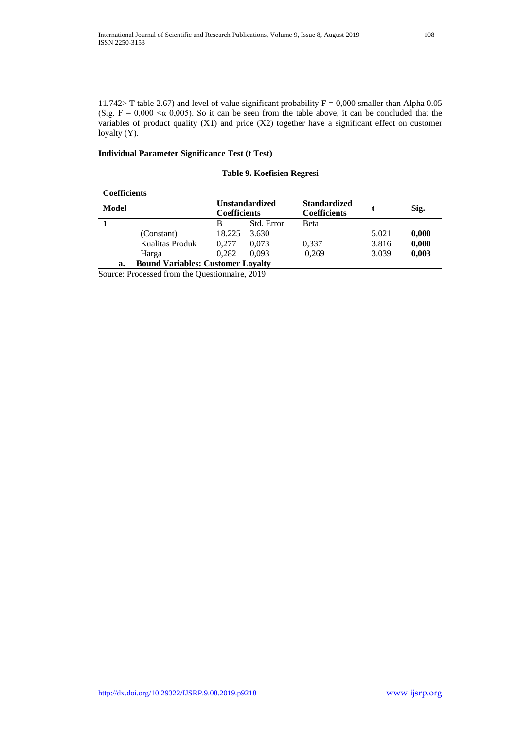11.742> T table 2.67) and level of value significant probability  $F = 0,000$  smaller than Alpha 0.05 (Sig.  $F = 0,000 \le \alpha$  0,005). So it can be seen from the table above, it can be concluded that the variables of product quality (X1) and price (X2) together have a significant effect on customer loyalty (Y).

## **Individual Parameter Significance Test (t Test)**

## **Table 9. Koefisien Regresi**

| <b>Coefficients</b> |                                          |                     |                       |                                            |       |       |
|---------------------|------------------------------------------|---------------------|-----------------------|--------------------------------------------|-------|-------|
| Model               |                                          | <b>Coefficients</b> | <b>Unstandardized</b> | <b>Standardized</b><br><b>Coefficients</b> |       | Sig.  |
|                     |                                          | B                   | Std. Error            | Beta                                       |       |       |
|                     | (Constant)                               | 18.225              | 3.630                 |                                            | 5.021 | 0,000 |
|                     | Kualitas Produk                          | 0.277               | 0.073                 | 0,337                                      | 3.816 | 0,000 |
|                     | Harga                                    | 0.282               | 0.093                 | 0.269                                      | 3.039 | 0,003 |
| a.                  | <b>Bound Variables: Customer Loyalty</b> |                     |                       |                                            |       |       |

Source: Processed from the Questionnaire, 2019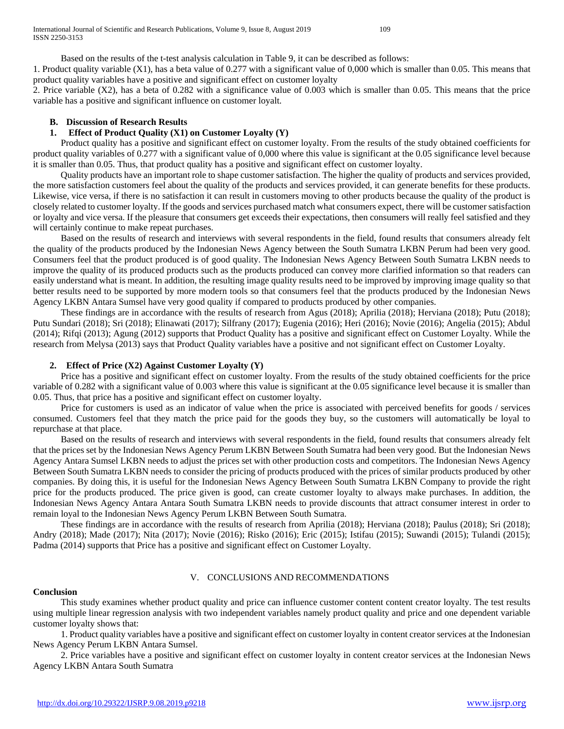1. Product quality variable (X1), has a beta value of 0.277 with a significant value of 0,000 which is smaller than 0.05. This means that product quality variables have a positive and significant effect on customer loyalty

2. Price variable (X2), has a beta of 0.282 with a significance value of 0.003 which is smaller than 0.05. This means that the price variable has a positive and significant influence on customer loyalt.

## **B. Discussion of Research Results**

## **1. Effect of Product Quality (X1) on Customer Loyalty (Y)**

 Product quality has a positive and significant effect on customer loyalty. From the results of the study obtained coefficients for product quality variables of 0.277 with a significant value of 0,000 where this value is significant at the 0.05 significance level because it is smaller than 0.05. Thus, that product quality has a positive and significant effect on customer loyalty.

 Quality products have an important role to shape customer satisfaction. The higher the quality of products and services provided, the more satisfaction customers feel about the quality of the products and services provided, it can generate benefits for these products. Likewise, vice versa, if there is no satisfaction it can result in customers moving to other products because the quality of the product is closely related to customer loyalty. If the goods and services purchased match what consumers expect, there will be customer satisfaction or loyalty and vice versa. If the pleasure that consumers get exceeds their expectations, then consumers will really feel satisfied and they will certainly continue to make repeat purchases.

 Based on the results of research and interviews with several respondents in the field, found results that consumers already felt the quality of the products produced by the Indonesian News Agency between the South Sumatra LKBN Perum had been very good. Consumers feel that the product produced is of good quality. The Indonesian News Agency Between South Sumatra LKBN needs to improve the quality of its produced products such as the products produced can convey more clarified information so that readers can easily understand what is meant. In addition, the resulting image quality results need to be improved by improving image quality so that better results need to be supported by more modern tools so that consumers feel that the products produced by the Indonesian News Agency LKBN Antara Sumsel have very good quality if compared to products produced by other companies.

 These findings are in accordance with the results of research from Agus (2018); Aprilia (2018); Herviana (2018); Putu (2018); Putu Sundari (2018); Sri (2018); Elinawati (2017); Silfrany (2017); Eugenia (2016); Heri (2016); Novie (2016); Angelia (2015); Abdul (2014); Rifqi (2013); Agung (2012) supports that Product Quality has a positive and significant effect on Customer Loyalty. While the research from Melysa (2013) says that Product Quality variables have a positive and not significant effect on Customer Loyalty.

#### **2. Effect of Price (X2) Against Customer Loyalty (Y)**

 Price has a positive and significant effect on customer loyalty. From the results of the study obtained coefficients for the price variable of 0.282 with a significant value of 0.003 where this value is significant at the 0.05 significance level because it is smaller than 0.05. Thus, that price has a positive and significant effect on customer loyalty.

 Price for customers is used as an indicator of value when the price is associated with perceived benefits for goods / services consumed. Customers feel that they match the price paid for the goods they buy, so the customers will automatically be loyal to repurchase at that place.

 Based on the results of research and interviews with several respondents in the field, found results that consumers already felt that the prices set by the Indonesian News Agency Perum LKBN Between South Sumatra had been very good. But the Indonesian News Agency Antara Sumsel LKBN needs to adjust the prices set with other production costs and competitors. The Indonesian News Agency Between South Sumatra LKBN needs to consider the pricing of products produced with the prices of similar products produced by other companies. By doing this, it is useful for the Indonesian News Agency Between South Sumatra LKBN Company to provide the right price for the products produced. The price given is good, can create customer loyalty to always make purchases. In addition, the Indonesian News Agency Antara Antara South Sumatra LKBN needs to provide discounts that attract consumer interest in order to remain loyal to the Indonesian News Agency Perum LKBN Between South Sumatra.

 These findings are in accordance with the results of research from Aprilia (2018); Herviana (2018); Paulus (2018); Sri (2018); Andry (2018); Made (2017); Nita (2017); Novie (2016); Risko (2016); Eric (2015); Istifau (2015); Suwandi (2015); Tulandi (2015); Padma (2014) supports that Price has a positive and significant effect on Customer Loyalty.

## V. CONCLUSIONS AND RECOMMENDATIONS

#### **Conclusion**

 This study examines whether product quality and price can influence customer content content creator loyalty. The test results using multiple linear regression analysis with two independent variables namely product quality and price and one dependent variable customer loyalty shows that:

 1. Product quality variables have a positive and significant effect on customer loyalty in content creator services at the Indonesian News Agency Perum LKBN Antara Sumsel.

 2. Price variables have a positive and significant effect on customer loyalty in content creator services at the Indonesian News Agency LKBN Antara South Sumatra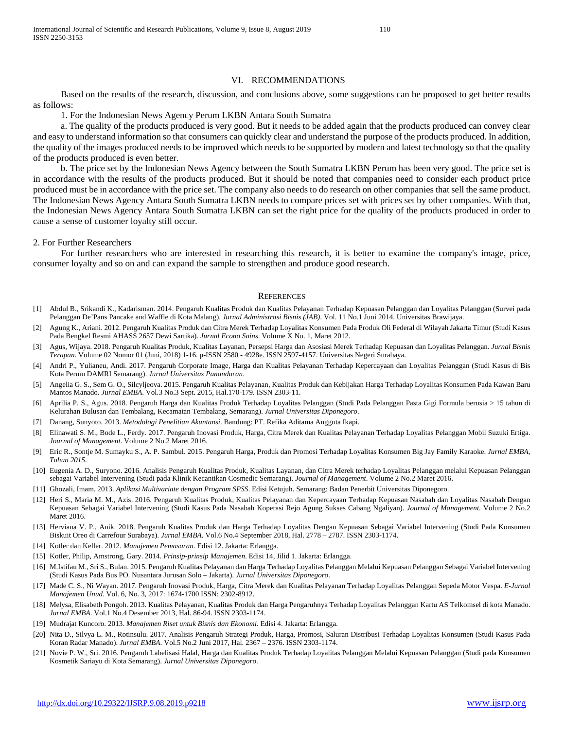#### VI. RECOMMENDATIONS

 Based on the results of the research, discussion, and conclusions above, some suggestions can be proposed to get better results as follows:

1. For the Indonesian News Agency Perum LKBN Antara South Sumatra

 a. The quality of the products produced is very good. But it needs to be added again that the products produced can convey clear and easy to understand information so that consumers can quickly clear and understand the purpose of the products produced. In addition, the quality of the images produced needs to be improved which needs to be supported by modern and latest technology so that the quality of the products produced is even better.

 b. The price set by the Indonesian News Agency between the South Sumatra LKBN Perum has been very good. The price set is in accordance with the results of the products produced. But it should be noted that companies need to consider each product price produced must be in accordance with the price set. The company also needs to do research on other companies that sell the same product. The Indonesian News Agency Antara South Sumatra LKBN needs to compare prices set with prices set by other companies. With that, the Indonesian News Agency Antara South Sumatra LKBN can set the right price for the quality of the products produced in order to cause a sense of customer loyalty still occur.

#### 2. For Further Researchers

 For further researchers who are interested in researching this research, it is better to examine the company's image, price, consumer loyalty and so on and can expand the sample to strengthen and produce good research.

#### **REFERENCES**

- [1] Abdul B., Srikandi K., Kadarisman. 2014. Pengaruh Kualitas Produk dan Kualitas Pelayanan Terhadap Kepuasan Pelanggan dan Loyalitas Pelanggan (Survei pada Pelanggan De'Pans Pancake and Waffle di Kota Malang). *Jurnal Administrasi Bisnis (JAB)*. Vol. 11 No.1 Juni 2014. Universitas Brawijaya.
- [2] Agung K., Ariani. 2012. Pengaruh Kualitas Produk dan Citra Merek Terhadap Loyalitas Konsumen Pada Produk Oli Federal di Wilayah Jakarta Timur (Studi Kasus Pada Bengkel Resmi AHASS 2657 Dewi Sartika). *Jurnal Econo Sains*. Volume X No. 1, Maret 2012.
- [3] Agus, Wijaya. 2018. Pengaruh Kualitas Produk, Kualitas Layanan, Persepsi Harga dan Asosiasi Merek Terhadap Kepuasan dan Loyalitas Pelanggan. *Jurnal Bisnis Terapan*. Volume 02 Nomor 01 (Juni, 2018) 1-16. p-ISSN 2580 - 4928e. ISSN 2597-4157. Universitas Negeri Surabaya.
- [4] Andri P., Yulianeu, Andi. 2017. Pengaruh Corporate Image, Harga dan Kualitas Pelayanan Terhadap Kepercayaan dan Loyalitas Pelanggan (Studi Kasus di Bis Kota Perum DAMRI Semarang). *Jurnal Universitas Panandaran*.
- [5] Angelia G. S., Sem G. O., Silcyljeova. 2015. Pengaruh Kualitas Pelayanan, Kualitas Produk dan Kebijakan Harga Terhadap Loyalitas Konsumen Pada Kawan Baru Mantos Manado. *Jurnal EMBA*. Vol.3 No.3 Sept. 2015, Hal.170-179. ISSN 2303-11.
- [6] Aprilia P. S., Agus. 2018. Pengaruh Harga dan Kualitas Produk Terhadap Loyalitas Pelanggan (Studi Pada Pelanggan Pasta Gigi Formula berusia > 15 tahun di Kelurahan Bulusan dan Tembalang, Kecamatan Tembalang, Semarang). *Jurnal Universitas Diponegoro*.
- [7] Danang, Sunyoto. 2013. *Metodologi Penelitian Akuntansi*. Bandung: PT. Refika Aditama Anggota Ikapi.
- [8] Elinawati S. M., Bode L., Ferdy. 2017. Pengaruh Inovasi Produk, Harga, Citra Merek dan Kualitas Pelayanan Terhadap Loyalitas Pelanggan Mobil Suzuki Ertiga. *Journal of Management*. Volume 2 No.2 Maret 2016.
- [9] Eric R., Sontje M. Sumayku S., A. P. Sambul. 2015. Pengaruh Harga, Produk dan Promosi Terhadap Loyalitas Konsumen Big Jay Family Karaoke. *Jurnal EMBA, Tahun 2015*.
- [10] Eugenia A. D., Suryono. 2016. Analisis Pengaruh Kualitas Produk, Kualitas Layanan, dan Citra Merek terhadap Loyalitas Pelanggan melalui Kepuasan Pelanggan sebagai Variabel Intervening (Studi pada Klinik Kecantikan Cosmedic Semarang). *Journal of Management*. Volume 2 No.2 Maret 2016.
- [11] Ghozali, Imam. 2013. *Aplikasi Multivariate dengan Program SPSS*. Edisi Ketujuh. Semarang: Badan Penerbit Universitas Diponegoro.
- [12] Heri S., Maria M. M., Azis. 2016. Pengaruh Kualitas Produk, Kualitas Pelayanan dan Kepercayaan Terhadap Kepuasan Nasabah dan Loyalitas Nasabah Dengan Kepuasan Sebagai Variabel Intervening (Studi Kasus Pada Nasabah Koperasi Rejo Agung Sukses Cabang Ngaliyan). *Journal of Management*. Volume 2 No.2 Maret 2016.
- [13] Herviana V. P., Anik. 2018. Pengaruh Kualitas Produk dan Harga Terhadap Loyalitas Dengan Kepuasan Sebagai Variabel Intervening (Studi Pada Konsumen Biskuit Oreo di Carrefour Surabaya). *Jurnal EMBA*. Vol.6 No.4 September 2018, Hal. 2778 – 2787. ISSN 2303-1174.
- [14] Kotler dan Keller. 2012. *Manajemen Pemasaran*. Edisi 12. Jakarta: Erlangga.
- [15] Kotler, Philip, Amstrong, Gary. 2014. *Prinsip-prinsip Manajemen*. Edisi 14, Jilid 1. Jakarta: Erlangga.
- [16] M.Istifau M., Sri S., Bulan. 2015. Pengaruh Kualitas Pelayanan dan Harga Terhadap Loyalitas Pelanggan Melalui Kepuasan Pelanggan Sebagai Variabel Intervening (Studi Kasus Pada Bus PO. Nusantara Jurusan Solo – Jakarta). *Jurnal Universitas Diponegoro*.
- [17] Made C. S., Ni Wayan. 2017. Pengaruh Inovasi Produk, Harga, Citra Merek dan Kualitas Pelayanan Terhadap Loyalitas Pelanggan Sepeda Motor Vespa. *E-Jurnal Manajemen Unud*. Vol. 6, No. 3, 2017: 1674-1700 ISSN: 2302-8912.
- [18] Melysa, Elisabeth Pongoh. 2013. Kualitas Pelayanan, Kualitas Produk dan Harga Pengaruhnya Terhadap Loyalitas Pelanggan Kartu AS Telkomsel di kota Manado. *Jurnal EMBA*. Vol.1 No.4 Desember 2013, Hal. 86-94. ISSN 2303-1174.
- [19] Mudrajat Kuncoro. 2013. *Manajemen Riset untuk Bisnis dan Ekonomi*. Edisi 4. Jakarta: Erlangga.
- [20] Nita D., Silvya L. M., Rotinsulu. 2017. Analisis Pengaruh Strategi Produk, Harga, Promosi, Saluran Distribusi Terhadap Loyalitas Konsumen (Studi Kasus Pada Koran Radar Manado). *Jurnal EMBA*. Vol.5 No.2 Juni 2017, Hal. 2367 – 2376. ISSN 2303-1174.
- [21] Novie P. W., Sri. 2016. Pengaruh Labelisasi Halal, Harga dan Kualitas Produk Terhadap Loyalitas Pelanggan Melalui Kepuasan Pelanggan (Studi pada Konsumen Kosmetik Sariayu di Kota Semarang). *Jurnal Universitas Diponegoro*.